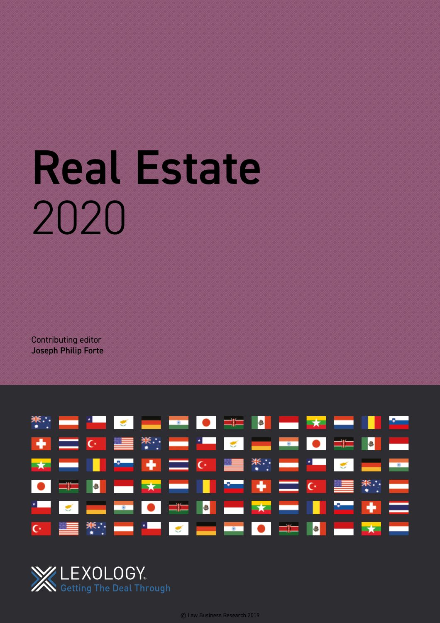# Real Estate 2020

Contributing editor Joseph Philip Forte



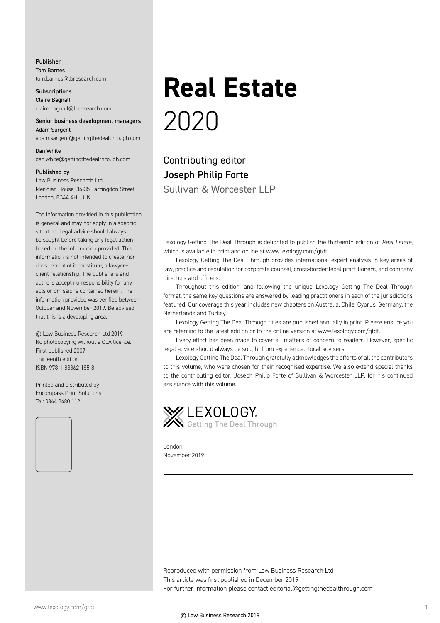#### Publisher Tom Barnes tom.barnes@lbresearch.com

Subscriptions Claire Bagnall claire.bagnall@lbresearch.com

#### Senior business development managers Adam Sargent

adam.sargent@gettingthedealthrough.com

#### Dan White dan.white@gettingthedealthrough.com

Published by

Law Business Research Ltd Meridian House, 34-35 Farringdon Street London, EC4A 4HL, UK

The information provided in this publication is general and may not apply in a specific situation. Legal advice should always be sought before taking any legal action based on the information provided. This information is not intended to create, nor does receipt of it constitute, a lawyer– client relationship. The publishers and authors accept no responsibility for any acts or omissions contained herein. The information provided was verified between October and November 2019. Be advised that this is a developing area.

© Law Business Research Ltd 2019 No photocopying without a CLA licence. First published 2007 Thirteenth edition ISBN 978-1-83862-185-8

Printed and distributed by Encompass Print Solutions Tel: 0844 2480 112



### **Real Estate** 2020

Contributing editor Joseph Philip Forte Sullivan & Worcester LLP

Lexology Getting The Deal Through is delighted to publish the thirteenth edition of *Real Estate*, which is available in print and online at www.lexology.com/gtdt.

Lexology Getting The Deal Through provides international expert analysis in key areas of law, practice and regulation for corporate counsel, cross-border legal practitioners, and company directors and officers.

Throughout this edition, and following the unique Lexology Getting The Deal Through format, the same key questions are answered by leading practitioners in each of the jurisdictions featured. Our coverage this year includes new chapters on Australia, Chile, Cyprus, Germany, the Netherlands and Turkey.

Lexology Getting The Deal Through titles are published annually in print. Please ensure you are referring to the latest edition or to the online version at www.lexology.com/gtdt.

Every effort has been made to cover all matters of concern to readers. However, specific legal advice should always be sought from experienced local advisers.

Lexology Getting The Deal Through gratefully acknowledges the efforts of all the contributors to this volume, who were chosen for their recognised expertise. We also extend special thanks to the contributing editor, Joseph Philip Forte of Sullivan & Worcester LLP, for his continued assistance with this volume.



London November 2019

Reproduced with permission from Law Business Research Ltd This article was first published in December 2019 For further information please contact editorial@gettingthedealthrough.com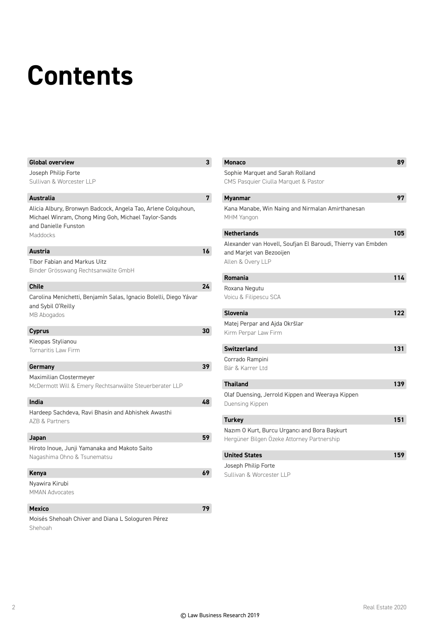## **Contents**

| <b>Global overview</b>                                                                                                                        | 3 <sup>1</sup> | <b>Monaco</b>                                                                            | 89  |
|-----------------------------------------------------------------------------------------------------------------------------------------------|----------------|------------------------------------------------------------------------------------------|-----|
| Joseph Philip Forte                                                                                                                           |                | Sophie Marquet and Sarah Rolland                                                         |     |
| Sullivan & Worcester LLP                                                                                                                      |                | CMS Pasquier Ciulla Marquet & Pastor                                                     |     |
| <b>Australia</b>                                                                                                                              | $7\phantom{.}$ | <b>Myanmar</b>                                                                           | 97  |
| Alicia Albury, Bronwyn Badcock, Angela Tao, Arlene Colguhoun,<br>Michael Winram, Chong Ming Goh, Michael Taylor-Sands<br>and Danielle Funston |                | Kana Manabe, Win Naing and Nirmalan Amirthanesan<br>MHM Yangon                           |     |
| Maddocks                                                                                                                                      |                | <b>Netherlands</b>                                                                       | 105 |
| <b>Austria</b>                                                                                                                                | 16             | Alexander van Hovell, Soufjan El Baroudi, Thierry van Embden<br>and Marjet van Bezooijen |     |
| <b>Tibor Fabian and Markus Uitz</b><br>Binder Grösswang Rechtsanwälte GmbH                                                                    |                | Allen & Overy LLP                                                                        |     |
|                                                                                                                                               |                | <b>Romania</b>                                                                           | 114 |
| <b>Chile</b>                                                                                                                                  | 24             | Roxana Negutu                                                                            |     |
| Carolina Menichetti, Benjamín Salas, Ignacio Bolelli, Diego Yávar<br>and Sybil O'Reilly                                                       |                | Voicu & Filipescu SCA                                                                    |     |
| MB Abogados                                                                                                                                   |                | <b>Slovenia</b>                                                                          | 122 |
|                                                                                                                                               |                | Matej Perpar and Ajda Okršlar                                                            |     |
| <b>Cyprus</b>                                                                                                                                 | 30             | Kirm Perpar Law Firm                                                                     |     |
| Kleopas Stylianou                                                                                                                             |                |                                                                                          |     |
| Tornaritis Law Firm                                                                                                                           |                | <b>Switzerland</b>                                                                       | 131 |
| Germany                                                                                                                                       | 39             | Corrado Rampini<br>Bär & Karrer Ltd                                                      |     |
| Maximilian Clostermeyer                                                                                                                       |                |                                                                                          |     |
| McDermott Will & Emery Rechtsanwälte Steuerberater LLP                                                                                        |                | <b>Thailand</b>                                                                          | 139 |
|                                                                                                                                               |                | Olaf Duensing, Jerrold Kippen and Weeraya Kippen                                         |     |
| India                                                                                                                                         | 48             | Duensing Kippen                                                                          |     |
| Hardeep Sachdeva, Ravi Bhasin and Abhishek Awasthi                                                                                            |                |                                                                                          |     |
| AZB & Partners                                                                                                                                |                | <b>Turkey</b>                                                                            | 151 |
|                                                                                                                                               | 59             | Nazım O Kurt, Burcu Urgancı and Bora Başkurt                                             |     |
| Japan                                                                                                                                         |                | Hergüner Bilgen Özeke Attorney Partnership                                               |     |
| Hiroto Inoue, Junji Yamanaka and Makoto Saito<br>Nagashima Ohno & Tsunematsu                                                                  |                | <b>United States</b>                                                                     | 159 |
|                                                                                                                                               |                | Joseph Philip Forte                                                                      |     |
| <b>Kenya</b>                                                                                                                                  | 69             | Sullivan & Worcester LLP                                                                 |     |
| Nyawira Kirubi                                                                                                                                |                |                                                                                          |     |
| <b>MMAN Advocates</b>                                                                                                                         |                |                                                                                          |     |
| <b>Mexico</b>                                                                                                                                 | 79             |                                                                                          |     |
| Moisés Shehoah Chiver and Diana L Sologuren Pérez                                                                                             |                |                                                                                          |     |

Shehoah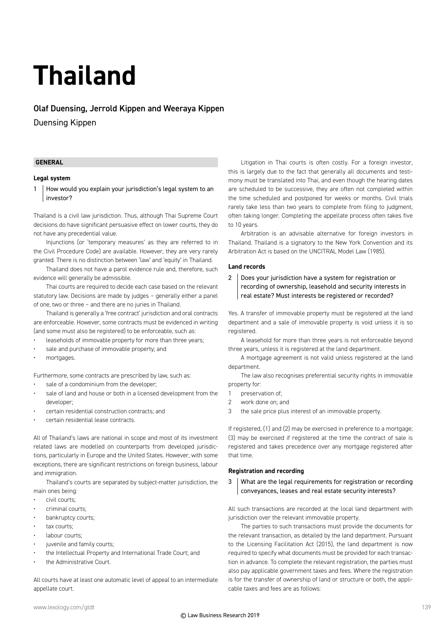## **Thailand**

#### Olaf Duensing, Jerrold Kippen and Weeraya Kippen

Duensing Kippen

#### **GENERAL**

#### **Legal system**

1 How would you explain your jurisdiction's legal system to an investor?

Thailand is a civil law jurisdiction. Thus, although Thai Supreme Court decisions do have significant persuasive effect on lower courts, they do not have any precedential value.

Injunctions (or 'temporary measures' as they are referred to in the Civil Procedure Code) are available. However, they are very rarely granted. There is no distinction between 'law' and 'equity' in Thailand.

Thailand does not have a parol evidence rule and, therefore, such evidence will generally be admissible.

Thai courts are required to decide each case based on the relevant statutory law. Decisions are made by judges – generally either a panel of one, two or three – and there are no juries in Thailand.

Thailand is generally a 'free contract' jurisdiction and oral contracts are enforceable. However, some contracts must be evidenced in writing (and some must also be registered) to be enforceable, such as:

- leaseholds of immovable property for more than three years;
- sale and purchase of immovable property; and
- mortgages.

Furthermore, some contracts are prescribed by law, such as:

- sale of a condominium from the developer;
- sale of land and house or both in a licensed development from the developer;
- certain residential construction contracts; and
- certain residential lease contracts.

All of Thailand's laws are national in scope and most of its investment related laws are modelled on counterparts from developed jurisdictions, particularly in Europe and the United States. However, with some exceptions, there are significant restrictions on foreign business, labour and immigration.

Thailand's courts are separated by subject-matter jurisdiction, the main ones being:

- civil courts;
- criminal courts;
- bankruptcy courts;
- tax courts:
- labour courts;
- juvenile and family courts;
- the Intellectual Property and International Trade Court; and
- the Administrative Court.

All courts have at least one automatic level of appeal to an intermediate appellate court.

Litigation in Thai courts is often costly. For a foreign investor, this is largely due to the fact that generally all documents and testimony must be translated into Thai, and even though the hearing dates are scheduled to be successive, they are often not completed within the time scheduled and postponed for weeks or months. Civil trials rarely take less than two years to complete from filing to judgment, often taking longer. Completing the appellate process often takes five to 10 years.

Arbitration is an advisable alternative for foreign investors in Thailand. Thailand is a signatory to the New York Convention and its Arbitration Act is based on the UNCITRAL Model Law (1985).

#### **Land records**

2 **Does your jurisdiction have a system for registration or** recording of ownership, leasehold and security interests in real estate? Must interests be registered or recorded?

Yes. A transfer of immovable property must be registered at the land department and a sale of immovable property is void unless it is so registered.

A leasehold for more than three years is not enforceable beyond three years, unless it is registered at the land department.

A mortgage agreement is not valid unless registered at the land department.

The law also recognises preferential security rights in immovable property for:

- 1 preservation of;
- 2 work done on; and
- 3 the sale price plus interest of an immovable property.

If registered, (1) and (2) may be exercised in preference to a mortgage; (3) may be exercised if registered at the time the contract of sale is registered and takes precedence over any mortgage registered after that time.

#### **Registration and recording**

3 | What are the legal requirements for registration or recording conveyances, leases and real estate security interests?

All such transactions are recorded at the local land department with jurisdiction over the relevant immovable property.

The parties to such transactions must provide the documents for the relevant transaction, as detailed by the land department. Pursuant to the Licensing Facilitation Act (2015), the land department is now required to specify what documents must be provided for each transaction in advance. To complete the relevant registration, the parties must also pay applicable government taxes and fees. Where the registration is for the transfer of ownership of land or structure or both, the applicable taxes and fees are as follows: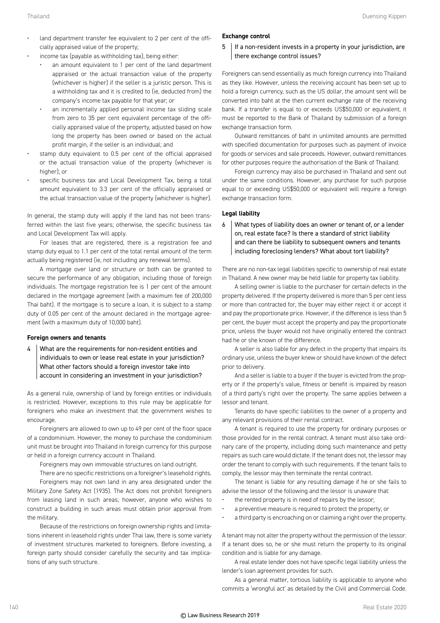- land department transfer fee equivalent to 2 per cent of the officially appraised value of the property;
- income tax (payable as withholding tax), being either:
	- an amount equivalent to 1 per cent of the land department appraised or the actual transaction value of the property (whichever is higher) if the seller is a juristic person. This is a withholding tax and it is credited to (ie, deducted from) the company's income tax payable for that year; or
	- an incrementally applied personal income tax sliding scale from zero to 35 per cent equivalent percentage of the officially appraised value of the property, adjusted based on how long the property has been owned or based on the actual profit margin, if the seller is an individual; and
- stamp duty equivalent to 0.5 per cent of the official appraised or the actual transaction value of the property (whichever is higher); or
- specific business tax and Local Development Tax, being a total amount equivalent to 3.3 per cent of the officially appraised or the actual transaction value of the property (whichever is higher).

In general, the stamp duty will apply if the land has not been transferred within the last five years; otherwise, the specific business tax and Local Development Tax will apply.

For leases that are registered, there is a registration fee and stamp duty equal to 1.1 per cent of the total rental amount of the term actually being registered (ie, not including any renewal terms).

A mortgage over land or structure or both can be granted to secure the performance of any obligation, including those of foreign individuals. The mortgage registration fee is 1 per cent of the amount declared in the mortgage agreement (with a maximum fee of 200,000 Thai baht). If the mortgage is to secure a loan, it is subject to a stamp duty of 0.05 per cent of the amount declared in the mortgage agreement (with a maximum duty of 10,000 baht).

#### **Foreign owners and tenants**

4 What are the requirements for non-resident entities and individuals to own or lease real estate in your jurisdiction? What other factors should a foreign investor take into account in considering an investment in your jurisdiction?

As a general rule, ownership of land by foreign entities or individuals is restricted. However, exceptions to this rule may be applicable for foreigners who make an investment that the government wishes to encourage

Foreigners are allowed to own up to 49 per cent of the floor space of a condominium. However, the money to purchase the condominium unit must be brought into Thailand in foreign currency for this purpose or held in a foreign currency account in Thailand.

Foreigners may own immovable structures on land outright.

There are no specific restrictions on a foreigner's leasehold rights.

Foreigners may not own land in any area designated under the Military Zone Safety Act (1935). The Act does not prohibit foreigners from leasing land in such areas; however, anyone who wishes to construct a building in such areas must obtain prior approval from the military.

Because of the restrictions on foreign ownership rights and limitations inherent in leasehold rights under Thai law, there is some variety of investment structures marketed to foreigners. Before investing, a foreign party should consider carefully the security and tax implications of any such structure.

#### **Exchange control**

 $5$  | If a non-resident invests in a property in your jurisdiction, are there exchange control issues?

Foreigners can send essentially as much foreign currency into Thailand as they like. However, unless the receiving account has been set up to hold a foreign currency, such as the US dollar, the amount sent will be converted into baht at the then current exchange rate of the receiving bank. If a transfer is equal to or exceeds US\$50,000 or equivalent, it must be reported to the Bank of Thailand by submission of a foreign exchange transaction form.

Outward remittances of baht in unlimited amounts are permitted with specified documentation for purposes such as payment of invoice for goods or services and sale proceeds. However, outward remittances for other purposes require the authorisation of the Bank of Thailand.

Foreign currency may also be purchased in Thailand and sent out under the same conditions. However, any purchase for such purpose equal to or exceeding US\$50,000 or equivalent will require a foreign exchange transaction form.

#### **Legal liability**

6 What types of liability does an owner or tenant of, or a lender on, real estate face? Is there a standard of strict liability and can there be liability to subsequent owners and tenants including foreclosing lenders? What about tort liability?

There are no non-tax legal liabilities specific to ownership of real estate in Thailand. A new owner may be held liable for property tax liability.

A selling owner is liable to the purchaser for certain defects in the property delivered. If the property delivered is more than 5 per cent less or more than contracted for, the buyer may either reject it or accept it and pay the proportionate price. However, if the difference is less than 5 per cent, the buyer must accept the property and pay the proportionate price, unless the buyer would not have originally entered the contract had he or she known of the difference.

A seller is also liable for any defect in the property that impairs its ordinary use, unless the buyer knew or should have known of the defect prior to delivery.

And a seller is liable to a buyer if the buyer is evicted from the property or if the property's value, fitness or benefit is impaired by reason of a third party's right over the property. The same applies between a lessor and tenant.

Tenants do have specific liabilities to the owner of a property and any relevant provisions of their rental contract.

A tenant is required to use the property for ordinary purposes or those provided for in the rental contract. A tenant must also take ordinary care of the property, including doing such maintenance and petty repairs as such care would dictate. If the tenant does not, the lessor may order the tenant to comply with such requirements. If the tenant fails to comply, the lessor may then terminate the rental contract.

The tenant is liable for any resulting damage if he or she fails to advise the lessor of the following and the lessor is unaware that:

- the rented property is in need of repairs by the lessor;
- a preventive measure is required to protect the property; or
- a third party is encroaching on or claiming a right over the property.

A tenant may not alter the property without the permission of the lessor. If a tenant does so, he or she must return the property to its original condition and is liable for any damage.

A real estate lender does not have specific legal liability unless the lender's loan agreement provides for such.

As a general matter, tortious liability is applicable to anyone who commits a 'wrongful act' as detailed by the Civil and Commercial Code.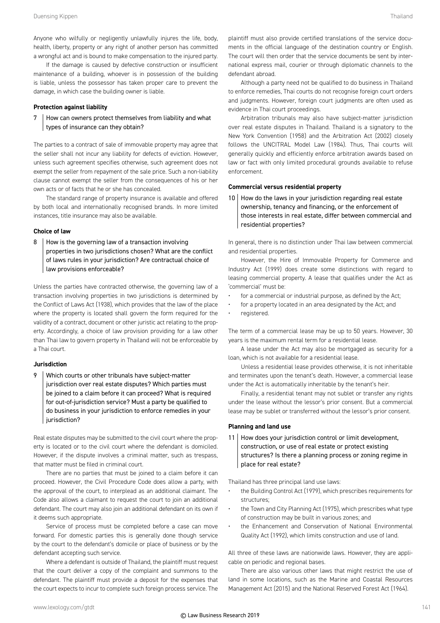If the damage is caused by defective construction or insufficient maintenance of a building, whoever is in possession of the building is liable, unless the possessor has taken proper care to prevent the damage, in which case the building owner is liable.

#### **Protection against liability**

#### 7 How can owners protect themselves from liability and what types of insurance can they obtain?

The parties to a contract of sale of immovable property may agree that the seller shall not incur any liability for defects of eviction. However, unless such agreement specifies otherwise, such agreement does not exempt the seller from repayment of the sale price. Such a non-liability clause cannot exempt the seller from the consequences of his or her own acts or of facts that he or she has concealed.

The standard range of property insurance is available and offered by both local and internationally recognised brands. In more limited instances, title insurance may also be available.

#### **Choice of law**

8 How is the governing law of a transaction involving properties in two jurisdictions chosen? What are the conflict of laws rules in your jurisdiction? Are contractual choice of law provisions enforceable?

Unless the parties have contracted otherwise, the governing law of a transaction involving properties in two jurisdictions is determined by the Conflict of Laws Act (1938), which provides that the law of the place where the property is located shall govern the form required for the validity of a contract, document or other juristic act relating to the property. Accordingly, a choice of law provision providing for a law other than Thai law to govern property in Thailand will not be enforceable by a Thai court.

#### **Jurisdiction**

9 Which courts or other tribunals have subject-matter jurisdiction over real estate disputes? Which parties must be joined to a claim before it can proceed? What is required for out-of-jurisdiction service? Must a party be qualified to do business in your jurisdiction to enforce remedies in your jurisdiction?

Real estate disputes may be submitted to the civil court where the property is located or to the civil court where the defendant is domiciled. However, if the dispute involves a criminal matter, such as trespass, that matter must be filed in criminal court.

There are no parties that must be joined to a claim before it can proceed. However, the Civil Procedure Code does allow a party, with the approval of the court, to interplead as an additional claimant. The Code also allows a claimant to request the court to join an additional defendant. The court may also join an additional defendant on its own if it deems such appropriate.

Service of process must be completed before a case can move forward. For domestic parties this is generally done though service by the court to the defendant's domicile or place of business or by the defendant accepting such service.

Where a defendant is outside of Thailand, the plaintiff must request that the court deliver a copy of the complaint and summons to the defendant. The plaintiff must provide a deposit for the expenses that the court expects to incur to complete such foreign process service. The plaintiff must also provide certified translations of the service documents in the official language of the destination country or English. The court will then order that the service documents be sent by international express mail, courier or through diplomatic channels to the defendant abroad.

Although a party need not be qualified to do business in Thailand to enforce remedies, Thai courts do not recognise foreign court orders and judgments. However, foreign court judgments are often used as evidence in Thai court proceedings.

Arbitration tribunals may also have subject-matter jurisdiction over real estate disputes in Thailand. Thailand is a signatory to the New York Convention (1958) and the Arbitration Act (2002) closely follows the UNCITRAL Model Law (1984). Thus, Thai courts will generally quickly and efficiently enforce arbitration awards based on law or fact with only limited procedural grounds available to refuse enforcement.

#### **Commercial versus residential property**

 $10$  How do the laws in your jurisdiction regarding real estate ownership, tenancy and financing, or the enforcement of those interests in real estate, differ between commercial and residential properties?

In general, there is no distinction under Thai law between commercial and residential properties.

However, the Hire of Immovable Property for Commerce and Industry Act (1999) does create some distinctions with regard to leasing commercial property. A lease that qualifies under the Act as 'commercial' must be:

- for a commercial or industrial purpose, as defined by the Act;
- for a property located in an area designated by the Act; and
- registered.

The term of a commercial lease may be up to 50 years. However, 30 years is the maximum rental term for a residential lease.

A lease under the Act may also be mortgaged as security for a loan, which is not available for a residential lease.

Unless a residential lease provides otherwise, it is not inheritable and terminates upon the tenant's death. However, a commercial lease under the Act is automatically inheritable by the tenant's heir.

Finally, a residential tenant may not sublet or transfer any rights under the lease without the lessor's prior consent. But a commercial lease may be sublet or transferred without the lessor's prior consent.

#### **Planning and land use**

11 | How does your jurisdiction control or limit development, construction, or use of real estate or protect existing structures? Is there a planning process or zoning regime in place for real estate?

Thailand has three principal land use laws:

- the Building Control Act (1979), which prescribes requirements for structures;
- the Town and City Planning Act (1975), which prescribes what type of construction may be built in various zones; and
- the Enhancement and Conservation of National Environmental Quality Act (1992), which limits construction and use of land.

All three of these laws are nationwide laws. However, they are applicable on periodic and regional bases.

There are also various other laws that might restrict the use of land in some locations, such as the Marine and Coastal Resources Management Act (2015) and the National Reserved Forest Act (1964).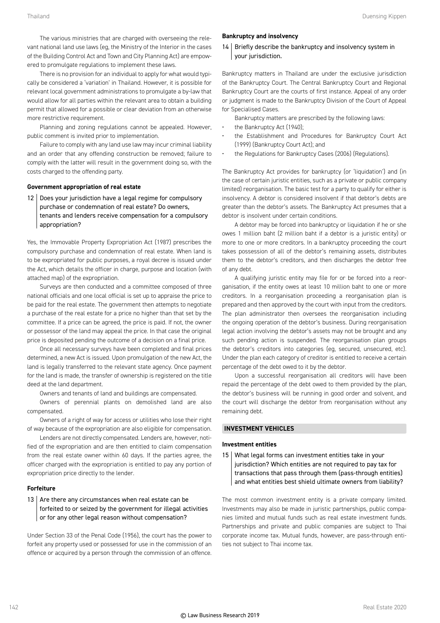The various ministries that are charged with overseeing the relevant national land use laws (eg, the Ministry of the Interior in the cases of the Building Control Act and Town and City Planning Act) are empowered to promulgate regulations to implement these laws.

There is no provision for an individual to apply for what would typically be considered a 'variation' in Thailand. However, it is possible for relevant local government administrations to promulgate a by-law that would allow for all parties within the relevant area to obtain a building permit that allowed for a possible or clear deviation from an otherwise more restrictive requirement.

Planning and zoning regulations cannot be appealed. However, public comment is invited prior to implementation.

Failure to comply with any land use law may incur criminal liability and an order that any offending construction be removed; failure to comply with the latter will result in the government doing so, with the costs charged to the offending party.

#### **Government appropriation of real estate**

12 | Does your jurisdiction have a legal regime for compulsory purchase or condemnation of real estate? Do owners, tenants and lenders receive compensation for a compulsory appropriation?

Yes, the Immovable Property Expropriation Act (1987) prescribes the compulsory purchase and condemnation of real estate. When land is to be expropriated for public purposes, a royal decree is issued under the Act, which details the officer in charge, purpose and location (with attached map) of the expropriation.

Surveys are then conducted and a committee composed of three national officials and one local official is set up to appraise the price to be paid for the real estate. The government then attempts to negotiate a purchase of the real estate for a price no higher than that set by the committee. If a price can be agreed, the price is paid. If not, the owner or possessor of the land may appeal the price. In that case the original price is deposited pending the outcome of a decision on a final price.

Once all necessary surveys have been completed and final prices determined, a new Act is issued. Upon promulgation of the new Act, the land is legally transferred to the relevant state agency. Once payment for the land is made, the transfer of ownership is registered on the title deed at the land department.

Owners and tenants of land and buildings are compensated.

Owners of perennial plants on demolished land are also compensated.

Owners of a right of way for access or utilities who lose their right of way because of the expropriation are also eligible for compensation.

Lenders are not directly compensated. Lenders are, however, notified of the expropriation and are then entitled to claim compensation from the real estate owner within 60 days. If the parties agree, the officer charged with the expropriation is entitled to pay any portion of expropriation price directly to the lender.

#### **Forfeiture**

#### 13 Are there any circumstances when real estate can be forfeited to or seized by the government for illegal activities or for any other legal reason without compensation?

Under Section 33 of the Penal Code (1956), the court has the power to forfeit any property used or possessed for use in the commission of an offence or acquired by a person through the commission of an offence.

#### **Bankruptcy and insolvency**

#### $14$  Briefly describe the bankruptcy and insolvency system in your jurisdiction.

Bankruptcy matters in Thailand are under the exclusive jurisdiction of the Bankruptcy Court. The Central Bankruptcy Court and Regional Bankruptcy Court are the courts of first instance. Appeal of any order or judgment is made to the Bankruptcy Division of the Court of Appeal for Specialised Cases.

Bankruptcy matters are prescribed by the following laws:

- the Bankruptcy Act (1940);
- the Establishment and Procedures for Bankruptcy Court Act (1999) (Bankruptcy Court Act); and
- the Regulations for Bankruptcy Cases (2006) (Regulations).

The Bankruptcy Act provides for bankruptcy (or 'liquidation') and (in the case of certain juristic entities, such as a private or public company limited) reorganisation. The basic test for a party to qualify for either is insolvency. A debtor is considered insolvent if that debtor's debts are greater than the debtor's assets. The Bankruptcy Act presumes that a debtor is insolvent under certain conditions.

A debtor may be forced into bankruptcy or liquidation if he or she owes 1 million baht (2 million baht if a debtor is a juristic entity) or more to one or more creditors. In a bankruptcy proceeding the court takes possession of all of the debtor's remaining assets, distributes them to the debtor's creditors, and then discharges the debtor free of any debt.

A qualifying juristic entity may file for or be forced into a reorganisation, if the entity owes at least 10 million baht to one or more creditors. In a reorganisation proceeding a reorganisation plan is prepared and then approved by the court with input from the creditors. The plan administrator then oversees the reorganisation including the ongoing operation of the debtor's business. During reorganisation legal action involving the debtor's assets may not be brought and any such pending action is suspended. The reorganisation plan groups the debtor's creditors into categories (eg, secured, unsecured, etc). Under the plan each category of creditor is entitled to receive a certain percentage of the debt owed to it by the debtor.

Upon a successful reorganisation all creditors will have been repaid the percentage of the debt owed to them provided by the plan, the debtor's business will be running in good order and solvent, and the court will discharge the debtor from reorganisation without any remaining debt.

#### **INVESTMENT VEHICLES**

#### **Investment entities**

15 What legal forms can investment entities take in your jurisdiction? Which entities are not required to pay tax for transactions that pass through them (pass-through entities) and what entities best shield ultimate owners from liability?

The most common investment entity is a private company limited. Investments may also be made in juristic partnerships, public companies limited and mutual funds such as real estate investment funds. Partnerships and private and public companies are subject to Thai corporate income tax. Mutual funds, however, are pass-through entities not subject to Thai income tax.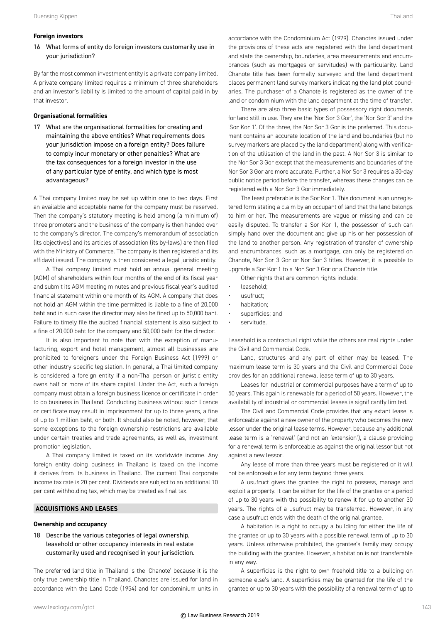#### **Foreign investors**

16 | What forms of entity do foreign investors customarily use in your jurisdiction?

By far the most common investment entity is a private company limited. A private company limited requires a minimum of three shareholders and an investor's liability is limited to the amount of capital paid in by that investor.

#### **Organisational formalities**

17 What are the organisational formalities for creating and maintaining the above entities? What requirements does your jurisdiction impose on a foreign entity? Does failure to comply incur monetary or other penalties? What are the tax consequences for a foreign investor in the use of any particular type of entity, and which type is most advantageous?

A Thai company limited may be set up within one to two days. First an available and acceptable name for the company must be reserved. Then the company's statutory meeting is held among (a minimum of) three promoters and the business of the company is then handed over to the company's director. The company's memorandum of association (its objectives) and its articles of association (its by-laws) are then filed with the Ministry of Commerce. The company is then registered and its affidavit issued. The company is then considered a legal juristic entity.

A Thai company limited must hold an annual general meeting (AGM) of shareholders within four months of the end of its fiscal year and submit its AGM meeting minutes and previous fiscal year's audited financial statement within one month of its AGM. A company that does not hold an AGM within the time permitted is liable to a fine of 20,000 baht and in such case the director may also be fined up to 50,000 baht. Failure to timely file the audited financial statement is also subject to a fine of 20,000 baht for the company and 50,000 baht for the director.

It is also important to note that with the exception of manufacturing, export and hotel management, almost all businesses are prohibited to foreigners under the Foreign Business Act (1999) or other industry-specific legislation. In general, a Thai limited company is considered a foreign entity if a non-Thai person or juristic entity owns half or more of its share capital. Under the Act, such a foreign company must obtain a foreign business licence or certificate in order to do business in Thailand. Conducting business without such licence or certificate may result in imprisonment for up to three years, a fine of up to 1 million baht, or both. It should also be noted, however, that some exceptions to the foreign ownership restrictions are available under certain treaties and trade agreements, as well as, investment promotion legislation.

A Thai company limited is taxed on its worldwide income. Any foreign entity doing business in Thailand is taxed on the income it derives from its business in Thailand. The current Thai corporate income tax rate is 20 per cent. Dividends are subject to an additional 10 per cent withholding tax, which may be treated as final tax.

#### **ACQUISITIONS AND LEASES**

#### **Ownership and occupancy**

18 Describe the various categories of legal ownership, leasehold or other occupancy interests in real estate customarily used and recognised in your jurisdiction.

The preferred land title in Thailand is the 'Chanote' because it is the only true ownership title in Thailand. Chanotes are issued for land in accordance with the Land Code (1954) and for condominium units in accordance with the Condominium Act (1979). Chanotes issued under the provisions of these acts are registered with the land department and state the ownership, boundaries, area measurements and encumbrances (such as mortgages or servitudes) with particularity. Land Chanote title has been formally surveyed and the land department places permanent land survey markers indicating the land plot boundaries. The purchaser of a Chanote is registered as the owner of the land or condominium with the land department at the time of transfer.

There are also three basic types of possessory right documents for land still in use. They are the 'Nor Sor 3 Gor', the 'Nor Sor 3' and the 'Sor Kor 1'. Of the three, the Nor Sor 3 Gor is the preferred. This document contains an accurate location of the land and boundaries (but no survey markers are placed by the land department) along with verification of the utilisation of the land in the past. A Nor Sor 3 is similar to the Nor Sor 3 Gor except that the measurements and boundaries of the Nor Sor 3 Gor are more accurate. Further, a Nor Sor 3 requires a 30-day public notice period before the transfer, whereas these changes can be registered with a Nor Sor 3 Gor immediately.

The least preferable is the Sor Kor 1. This document is an unregistered form stating a claim by an occupant of land that the land belongs to him or her. The measurements are vague or missing and can be easily disputed. To transfer a Sor Kor 1, the possessor of such can simply hand over the document and give up his or her possession of the land to another person. Any registration of transfer of ownership and encrumbrances, such as a mortgage, can only be registered on Chanote, Nor Sor 3 Gor or Nor Sor 3 titles. However, it is possible to upgrade a Sor Kor 1 to a Nor Sor 3 Gor or a Chanote title.

Other rights that are common rights include:

- leasehold;
- usufruct;
- habitation;
- superficies; and
- servitude.

Leasehold is a contractual right while the others are real rights under the Civil and Commercial Code.

Land, structures and any part of either may be leased. The maximum lease term is 30 years and the Civil and Commercial Code provides for an additional renewal lease term of up to 30 years.

Leases for industrial or commercial purposes have a term of up to 50 years. This again is renewable for a period of 50 years. However, the availability of industrial or commercial leases is significantly limited.

The Civil and Commercial Code provides that any extant lease is enforceable against a new owner of the property who becomes the new lessor under the original lease terms. However, because any additional lease term is a 'renewal' (and not an 'extension'), a clause providing for a renewal term is enforceable as against the original lessor but not against a new lessor.

Any lease of more than three years must be registered or it will not be enforceable for any term beyond three years.

A usufruct gives the grantee the right to possess, manage and exploit a property. It can be either for the life of the grantee or a period of up to 30 years with the possibility to renew it for up to another 30 years. The rights of a usufruct may be transferred. However, in any case a usufruct ends with the death of the original grantee.

A habitation is a right to occupy a building for either the life of the grantee or up to 30 years with a possible renewal term of up to 30 years. Unless otherwise prohibited, the grantee's family may occupy the building with the grantee. However, a habitation is not transferable in any way.

A superficies is the right to own freehold title to a building on someone else's land. A superficies may be granted for the life of the grantee or up to 30 years with the possibility of a renewal term of up to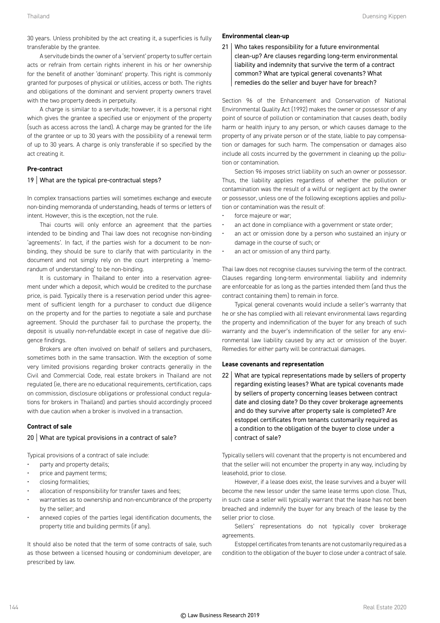30 years. Unless prohibited by the act creating it, a superficies is fully transferable by the grantee.

A servitude binds the owner of a 'servient' property to suffer certain acts or refrain from certain rights inherent in his or her ownership for the benefit of another 'dominant' property. This right is commonly granted for purposes of physical or utilities, access or both. The rights and obligations of the dominant and servient property owners travel with the two property deeds in perpetuity.

A charge is similar to a servitude; however, it is a personal right which gives the grantee a specified use or enjoyment of the property (such as access across the land). A charge may be granted for the life of the grantee or up to 30 years with the possibility of a renewal term of up to 30 years. A charge is only transferable if so specified by the act creating it.

#### **Pre-contract**

#### 19 What are the typical pre-contractual steps?

In complex transactions parties will sometimes exchange and execute non-binding memoranda of understanding, heads of terms or letters of intent. However, this is the exception, not the rule.

Thai courts will only enforce an agreement that the parties intended to be binding and Thai law does not recognise non-binding 'agreements'. In fact, if the parties wish for a document to be nonbinding, they should be sure to clarify that with particularity in the document and not simply rely on the court interpreting a 'memorandum of understanding' to be non-binding.

It is customary in Thailand to enter into a reservation agreement under which a deposit, which would be credited to the purchase price, is paid. Typically there is a reservation period under this agreement of sufficient length for a purchaser to conduct due diligence on the property and for the parties to negotiate a sale and purchase agreement. Should the purchaser fail to purchase the property, the deposit is usually non-refundable except in case of negative due diligence findings.

Brokers are often involved on behalf of sellers and purchasers, sometimes both in the same transaction. With the exception of some very limited provisions regarding broker contracts generally in the Civil and Commercial Code, real estate brokers in Thailand are not regulated (ie, there are no educational requirements, certification, caps on commission, disclosure obligations or professional conduct regulations for brokers in Thailand) and parties should accordingly proceed with due caution when a broker is involved in a transaction.

#### **Contract of sale**

#### 20 What are typical provisions in a contract of sale?

Typical provisions of a contract of sale include:

- party and property details;
- price and payment terms;
- closing formalities;
- allocation of responsibility for transfer taxes and fees;
- warranties as to ownership and non-encumbrance of the property by the seller; and
- annexed copies of the parties legal identification documents, the property title and building permits (if any).

It should also be noted that the term of some contracts of sale, such as those between a licensed housing or condominium developer, are prescribed by law.

#### **Environmental clean-up**

21 Who takes responsibility for a future environmental clean-up? Are clauses regarding long-term environmental liability and indemnity that survive the term of a contract common? What are typical general covenants? What remedies do the seller and buyer have for breach?

Section 96 of the Enhancement and Conservation of National Environmental Quality Act (1992) makes the owner or possessor of any point of source of pollution or contamination that causes death, bodily harm or health injury to any person, or which causes damage to the property of any private person or of the state, liable to pay compensation or damages for such harm. The compensation or damages also include all costs incurred by the government in cleaning up the pollution or contamination.

Section 96 imposes strict liability on such an owner or possessor. Thus, the liability applies regardless of whether the pollution or contamination was the result of a wilful or negligent act by the owner or possessor, unless one of the following exceptions applies and pollution or contamination was the result of:

- force majeure or war;
- an act done in compliance with a government or state order:
- an act or omission done by a person who sustained an injury or damage in the course of such; or
- an act or omission of any third party.

Thai law does not recognise clauses surviving the term of the contract. Clauses regarding long-term environmental liability and indemnity are enforceable for as long as the parties intended them (and thus the contract containing them) to remain in force.

Typical general covenants would include a seller's warranty that he or she has complied with all relevant environmental laws regarding the property and indemnification of the buyer for any breach of such warranty and the buyer's indemnification of the seller for any environmental law liability caused by any act or omission of the buyer. Remedies for either party will be contractual damages.

#### **Lease covenants and representation**

22 What are typical representations made by sellers of property regarding existing leases? What are typical covenants made by sellers of property concerning leases between contract date and closing date? Do they cover brokerage agreements and do they survive after property sale is completed? Are estoppel certificates from tenants customarily required as a condition to the obligation of the buyer to close under a contract of sale?

Typically sellers will covenant that the property is not encumbered and that the seller will not encumber the property in any way, including by leasehold, prior to close.

However, if a lease does exist, the lease survives and a buyer will become the new lessor under the same lease terms upon close. Thus, in such case a seller will typically warrant that the lease has not been breached and indemnify the buyer for any breach of the lease by the seller prior to close.

Sellers' representations do not typically cover brokerage agreements.

Estoppel certificates from tenants are not customarily required as a condition to the obligation of the buyer to close under a contract of sale.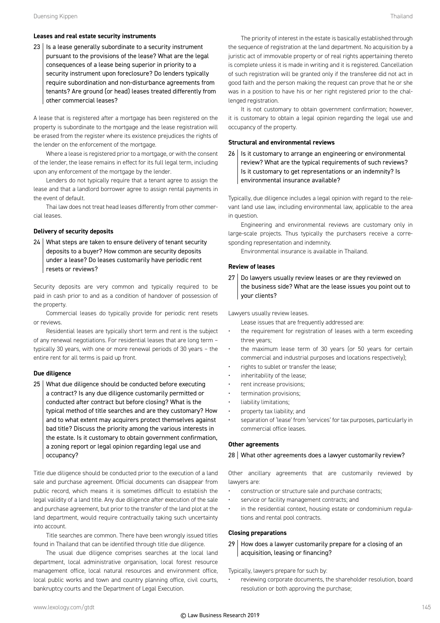#### **Leases and real estate security instruments**

 $23$  | Is a lease generally subordinate to a security instrument pursuant to the provisions of the lease? What are the legal consequences of a lease being superior in priority to a security instrument upon foreclosure? Do lenders typically require subordination and non-disturbance agreements from tenants? Are ground (or head) leases treated differently from other commercial leases?

A lease that is registered after a mortgage has been registered on the property is subordinate to the mortgage and the lease registration will be erased from the register where its existence prejudices the rights of the lender on the enforcement of the mortgage.

Where a lease is registered prior to a mortgage, or with the consent of the lender, the lease remains in effect for its full legal term, including upon any enforcement of the mortgage by the lender.

Lenders do not typically require that a tenant agree to assign the lease and that a landlord borrower agree to assign rental payments in the event of default.

Thai law does not treat head leases differently from other commercial leases.

#### **Delivery of security deposits**

24 What steps are taken to ensure delivery of tenant security deposits to a buyer? How common are security deposits under a lease? Do leases customarily have periodic rent resets or reviews?

Security deposits are very common and typically required to be paid in cash prior to and as a condition of handover of possession of the property.

Commercial leases do typically provide for periodic rent resets or reviews.

Residential leases are typically short term and rent is the subject of any renewal negotiations. For residential leases that are long term – typically 30 years, with one or more renewal periods of 30 years – the entire rent for all terms is paid up front.

#### **Due diligence**

25 What due diligence should be conducted before executing a contract? Is any due diligence customarily permitted or conducted after contract but before closing? What is the typical method of title searches and are they customary? How and to what extent may acquirers protect themselves against bad title? Discuss the priority among the various interests in the estate. Is it customary to obtain government confirmation, a zoning report or legal opinion regarding legal use and occupancy?

Title due diligence should be conducted prior to the execution of a land sale and purchase agreement. Official documents can disappear from public record, which means it is sometimes difficult to establish the legal validity of a land title. Any due diligence after execution of the sale and purchase agreement, but prior to the transfer of the land plot at the land department, would require contractually taking such uncertainty into account.

Title searches are common. There have been wrongly issued titles found in Thailand that can be identified through title due diligence.

The usual due diligence comprises searches at the local land department, local administrative organisation, local forest resource management office, local natural resources and environment office, local public works and town and country planning office, civil courts, bankruptcy courts and the Department of Legal Execution.

The priority of interest in the estate is basically established through the sequence of registration at the land department. No acquisition by a juristic act of immovable property or of real rights appertaining thereto is complete unless it is made in writing and it is registered. Cancellation of such registration will be granted only if the transferee did not act in good faith and the person making the request can prove that he or she was in a position to have his or her right registered prior to the challenged registration.

It is not customary to obtain government confirmation; however, it is customary to obtain a legal opinion regarding the legal use and occupancy of the property.

#### **Structural and environmental reviews**

 $26$  | Is it customary to arrange an engineering or environmental review? What are the typical requirements of such reviews? Is it customary to get representations or an indemnity? Is environmental insurance available?

Typically, due diligence includes a legal opinion with regard to the relevant land use law, including environmental law, applicable to the area in question.

Engineering and environmental reviews are customary only in large-scale projects. Thus typically the purchasers receive a corresponding representation and indemnity.

Environmental insurance is available in Thailand.

#### **Review of leases**

27 | Do lawyers usually review leases or are they reviewed on the business side? What are the lease issues you point out to your clients?

Lawyers usually review leases.

- Lease issues that are frequently addressed are:
- the requirement for registration of leases with a term exceeding three years;
- the maximum lease term of 30 years (or 50 years for certain commercial and industrial purposes and locations respectively);
- rights to sublet or transfer the lease;
- inheritability of the lease;
- rent increase provisions;
- termination provisions;
- liability limitations;
- property tax liability; and
- separation of 'lease' from 'services' for tax purposes, particularly in commercial office leases.

#### **Other agreements**

#### 28 What other agreements does a lawyer customarily review?

Other ancillary agreements that are customarily reviewed by lawyers are:

- construction or structure sale and purchase contracts;
- service or facility management contracts; and
- in the residential context, housing estate or condominium regulations and rental pool contracts.

#### **Closing preparations**

 $29$  How does a lawyer customarily prepare for a closing of an acquisition, leasing or financing?

Typically, lawyers prepare for such by:

• reviewing corporate documents, the shareholder resolution, board resolution or both approving the purchase;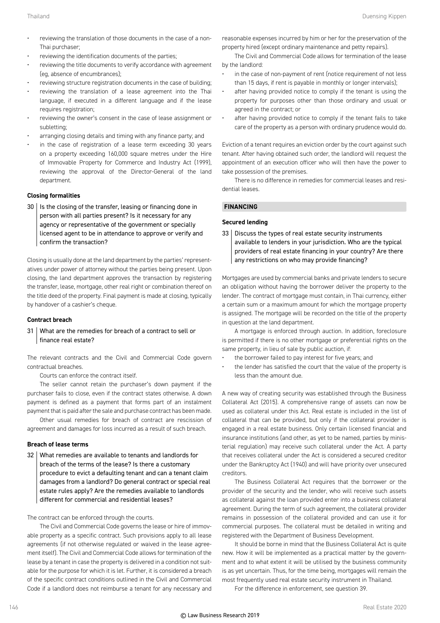- reviewing the translation of those documents in the case of a non-Thai purchaser;
- reviewing the identification documents of the parties;
- reviewing the title documents to verify accordance with agreement (eg, absence of encumbrances);
- reviewing structure registration documents in the case of building;
- reviewing the translation of a lease agreement into the Thai language, if executed in a different language and if the lease requires registration;
- reviewing the owner's consent in the case of lease assignment or subletting;
- arranging closing details and timing with any finance party; and
- in the case of registration of a lease term exceeding 30 years on a property exceeding 160,000 square metres under the Hire of Immovable Property for Commerce and Industry Act (1999), reviewing the approval of the Director-General of the land department.

#### **Closing formalities**

 $30$  | Is the closing of the transfer, leasing or financing done in person with all parties present? Is it necessary for any agency or representative of the government or specially licensed agent to be in attendance to approve or verify and confirm the transaction?

Closing is usually done at the land department by the parties' representatives under power of attorney without the parties being present. Upon closing, the land department approves the transaction by registering the transfer, lease, mortgage, other real right or combination thereof on the title deed of the property. Final payment is made at closing, typically by handover of a cashier's cheque.

#### **Contract breach**

31 What are the remedies for breach of a contract to sell or finance real estate?

The relevant contracts and the Civil and Commercial Code govern contractual breaches.

Courts can enforce the contract itself.

The seller cannot retain the purchaser's down payment if the purchaser fails to close, even if the contract states otherwise. A down payment is defined as a payment that forms part of an instalment payment that is paid after the sale and purchase contract has been made.

Other usual remedies for breach of contract are rescission of agreement and damages for loss incurred as a result of such breach.

#### **Breach of lease terms**

32 What remedies are available to tenants and landlords for breach of the terms of the lease? Is there a customary procedure to evict a defaulting tenant and can a tenant claim damages from a landlord? Do general contract or special real estate rules apply? Are the remedies available to landlords different for commercial and residential leases?

The contract can be enforced through the courts.

The Civil and Commercial Code governs the lease or hire of immovable property as a specific contract. Such provisions apply to all lease agreements (if not otherwise regulated or waived in the lease agreement itself). The Civil and Commercial Code allows for termination of the lease by a tenant in case the property is delivered in a condition not suitable for the purpose for which it is let. Further, it is considered a breach of the specific contract conditions outlined in the Civil and Commercial Code if a landlord does not reimburse a tenant for any necessary and reasonable expenses incurred by him or her for the preservation of the property hired (except ordinary maintenance and petty repairs).

The Civil and Commercial Code allows for termination of the lease by the landlord:

- in the case of non-payment of rent (notice requirement of not less than 15 days, if rent is payable in monthly or longer intervals);
- after having provided notice to comply if the tenant is using the property for purposes other than those ordinary and usual or agreed in the contract; or
- after having provided notice to comply if the tenant fails to take care of the property as a person with ordinary prudence would do.

Eviction of a tenant requires an eviction order by the court against such tenant. After having obtained such order, the landlord will request the appointment of an execution officer who will then have the power to take possession of the premises.

There is no difference in remedies for commercial leases and residential leases.

#### **FINANCING**

#### **Secured lending**

33 Discuss the types of real estate security instruments available to lenders in your jurisdiction. Who are the typical providers of real estate financing in your country? Are there any restrictions on who may provide financing?

Mortgages are used by commercial banks and private lenders to secure an obligation without having the borrower deliver the property to the lender. The contract of mortgage must contain, in Thai currency, either a certain sum or a maximum amount for which the mortgage property is assigned. The mortgage will be recorded on the title of the property in question at the land department.

A mortgage is enforced through auction. In addition, foreclosure is permitted if there is no other mortgage or preferential rights on the same property, in lieu of sale by public auction, if:

- the borrower failed to pay interest for five years; and
- the lender has satisfied the court that the value of the property is less than the amount due.

A new way of creating security was established through the Business Collateral Act (2015). A comprehensive range of assets can now be used as collateral under this Act. Real estate is included in the list of collateral that can be provided, but only if the collateral provider is engaged in a real estate business. Only certain licensed financial and insurance institutions (and other, as yet to be named, parties by ministerial regulation) may receive such collateral under the Act. A party that receives collateral under the Act is considered a secured creditor under the Bankruptcy Act (1940) and will have priority over unsecured creditors.

The Business Collateral Act requires that the borrower or the provider of the security and the lender, who will receive such assets as collateral against the loan provided enter into a business collateral agreement. During the term of such agreement, the collateral provider remains in possession of the collateral provided and can use it for commercial purposes. The collateral must be detailed in writing and registered with the Department of Business Development.

It should be borne in mind that the Business Collateral Act is quite new. How it will be implemented as a practical matter by the government and to what extent it will be utilised by the business community is as yet uncertain. Thus, for the time being, mortgages will remain the most frequently used real estate security instrument in Thailand.

For the difference in enforcement, see question 39.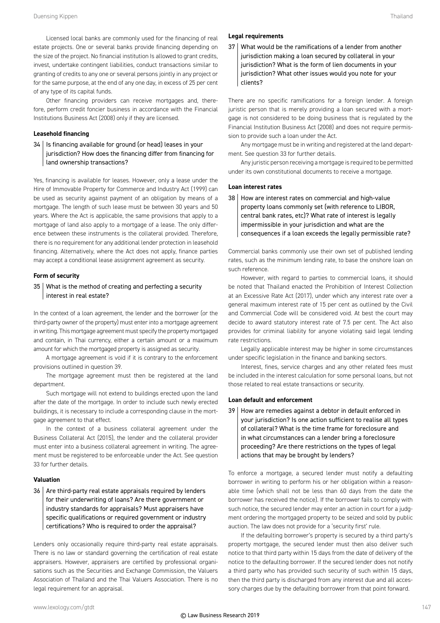Licensed local banks are commonly used for the financing of real estate projects. One or several banks provide financing depending on the size of the project. No financial institution Is allowed to grant credits, invest, undertake contingent liabilities, conduct transactions similar to granting of credits to any one or several persons jointly in any project or for the same purpose, at the end of any one day, in excess of 25 per cent of any type of its capital funds.

Other financing providers can receive mortgages and, therefore, perform credit foncier business in accordance with the Financial Institutions Business Act (2008) only if they are licensed.

#### **Leasehold financing**

34 | Is financing available for ground (or head) leases in your jurisdiction? How does the financing differ from financing for land ownership transactions?

Yes, financing is available for leases. However, only a lease under the Hire of Immovable Property for Commerce and Industry Act (1999) can be used as security against payment of an obligation by means of a mortgage. The length of such lease must be between 30 years and 50 years. Where the Act is applicable, the same provisions that apply to a mortgage of land also apply to a mortgage of a lease. The only difference between these instruments is the collateral provided. Therefore, there is no requirement for any additional lender protection in leasehold financing. Alternatively, where the Act does not apply, finance parties may accept a conditional lease assignment agreement as security.

#### **Form of security**

#### 35 What is the method of creating and perfecting a security interest in real estate?

In the context of a loan agreement, the lender and the borrower (or the third-party owner of the property) must enter into a mortgage agreement in writing. This mortgage agreement must specify the property mortgaged and contain, in Thai currency, either a certain amount or a maximum amount for which the mortgaged property is assigned as security.

A mortgage agreement is void if it is contrary to the enforcement provisions outlined in question 39.

The mortgage agreement must then be registered at the land department.

Such mortgage will not extend to buildings erected upon the land after the date of the mortgage. In order to include such newly erected buildings, it is necessary to include a corresponding clause in the mortgage agreement to that effect.

In the context of a business collateral agreement under the Business Collateral Act (2015), the lender and the collateral provider must enter into a business collateral agreement in writing. The agreement must be registered to be enforceable under the Act. See question 33 for further details.

#### **Valuation**

 $36$  Are third-party real estate appraisals required by lenders for their underwriting of loans? Are there government or industry standards for appraisals? Must appraisers have specific qualifications or required government or industry certifications? Who is required to order the appraisal?

Lenders only occasionally require third-party real estate appraisals. There is no law or standard governing the certification of real estate appraisers. However, appraisers are certified by professional organisations such as the Securities and Exchange Commission, the Valuers Association of Thailand and the Thai Valuers Association. There is no legal requirement for an appraisal.

37 What would be the ramifications of a lender from another jurisdiction making a loan secured by collateral in your jurisdiction? What is the form of lien documents in your jurisdiction? What other issues would you note for your clients?

There are no specific ramifications for a foreign lender. A foreign juristic person that is merely providing a loan secured with a mortgage is not considered to be doing business that is regulated by the Financial Institution Business Act (2008) and does not require permission to provide such a loan under the Act.

Any mortgage must be in writing and registered at the land department. See question 33 for further details.

Any juristic person receiving a mortgage is required to be permitted under its own constitutional documents to receive a mortgage.

#### **Loan interest rates**

38 How are interest rates on commercial and high-value property loans commonly set (with reference to LIBOR, central bank rates, etc)? What rate of interest is legally impermissible in your jurisdiction and what are the consequences if a loan exceeds the legally permissible rate?

Commercial banks commonly use their own set of published lending rates, such as the minimum lending rate, to base the onshore loan on such reference.

However, with regard to parties to commercial loans, it should be noted that Thailand enacted the Prohibition of Interest Collection at an Excessive Rate Act (2017), under which any interest rate over a general maximum interest rate of 15 per cent as outlined by the Civil and Commercial Code will be considered void. At best the court may decide to award statutory interest rate of 7.5 per cent. The Act also provides for criminal liability for anyone violating said legal lending rate restrictions.

Legally applicable interest may be higher in some circumstances under specific legislation in the finance and banking sectors.

Interest, fines, service charges and any other related fees must be included in the interest calculation for some personal loans, but not those related to real estate transactions or security.

#### **Loan default and enforcement**

39 How are remedies against a debtor in default enforced in your jurisdiction? Is one action sufficient to realise all types of collateral? What is the time frame for foreclosure and in what circumstances can a lender bring a foreclosure proceeding? Are there restrictions on the types of legal actions that may be brought by lenders?

To enforce a mortgage, a secured lender must notify a defaulting borrower in writing to perform his or her obligation within a reasonable time (which shall not be less than 60 days from the date the borrower has received the notice). If the borrower fails to comply with such notice, the secured lender may enter an action in court for a judgment ordering the mortgaged property to be seized and sold by public auction. The law does not provide for a 'security first' rule.

If the defaulting borrower's property is secured by a third party's property mortgage, the secured lender must then also deliver such notice to that third party within 15 days from the date of delivery of the notice to the defaulting borrower. If the secured lender does not notify a third party who has provided such security of such within 15 days, then the third party is discharged from any interest due and all accessory charges due by the defaulting borrower from that point forward.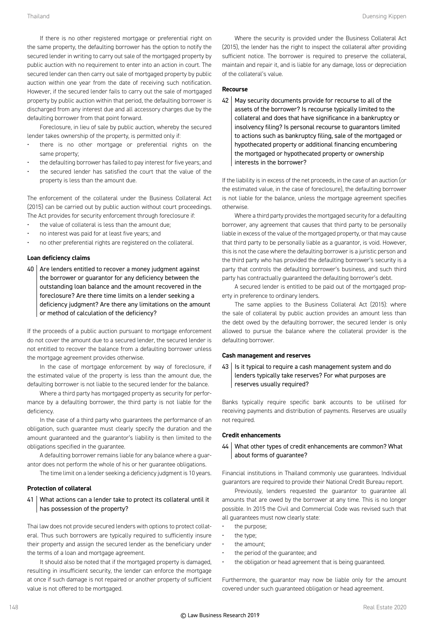If there is no other registered mortgage or preferential right on the same property, the defaulting borrower has the option to notify the secured lender in writing to carry out sale of the mortgaged property by public auction with no requirement to enter into an action in court. The secured lender can then carry out sale of mortgaged property by public auction within one year from the date of receiving such notification. However, if the secured lender fails to carry out the sale of mortgaged property by public auction within that period, the defaulting borrower is discharged from any interest due and all accessory charges due by the defaulting borrower from that point forward.

Foreclosure, in lieu of sale by public auction, whereby the secured lender takes ownership of the property, is permitted only if:

- there is no other mortgage or preferential rights on the same property;
- the defaulting borrower has failed to pay interest for five years; and
- the secured lender has satisfied the court that the value of the property is less than the amount due.

The enforcement of the collateral under the Business Collateral Act (2015) can be carried out by public auction without court proceedings. The Act provides for security enforcement through foreclosure if:

- the value of collateral is less than the amount due:
- no interest was paid for at least five years; and
- no other preferential rights are registered on the collateral.

#### **Loan deficiency claims**

 $40$  Are lenders entitled to recover a money judgment against the borrower or guarantor for any deficiency between the outstanding loan balance and the amount recovered in the foreclosure? Are there time limits on a lender seeking a deficiency judgment? Are there any limitations on the amount or method of calculation of the deficiency?

If the proceeds of a public auction pursuant to mortgage enforcement do not cover the amount due to a secured lender, the secured lender is not entitled to recover the balance from a defaulting borrower unless the mortgage agreement provides otherwise.

In the case of mortgage enforcement by way of foreclosure, if the estimated value of the property is less than the amount due, the defaulting borrower is not liable to the secured lender for the balance.

Where a third party has mortgaged property as security for performance by a defaulting borrower, the third party is not liable for the deficiency.

In the case of a third party who guarantees the performance of an obligation, such guarantee must clearly specify the duration and the amount guaranteed and the guarantor's liability is then limited to the obligations specified in the guarantee.

A defaulting borrower remains liable for any balance where a guarantor does not perform the whole of his or her guarantee obligations.

The time limit on a lender seeking a deficiency judgment is 10 years.

#### **Protection of collateral**

#### 41 What actions can a lender take to protect its collateral until it has possession of the property?

Thai law does not provide secured lenders with options to protect collateral. Thus such borrowers are typically required to sufficiently insure their property and assign the secured lender as the beneficiary under the terms of a loan and mortgage agreement.

It should also be noted that if the mortgaged property is damaged, resulting in insufficient security, the lender can enforce the mortgage at once if such damage is not repaired or another property of sufficient value is not offered to be mortgaged.

Where the security is provided under the Business Collateral Act (2015), the lender has the right to inspect the collateral after providing sufficient notice. The borrower is required to preserve the collateral, maintain and repair it, and is liable for any damage, loss or depreciation of the collateral's value.

#### **Recourse**

 $42$  May security documents provide for recourse to all of the assets of the borrower? Is recourse typically limited to the collateral and does that have significance in a bankruptcy or insolvency filing? Is personal recourse to guarantors limited to actions such as bankruptcy filing, sale of the mortgaged or hypothecated property or additional financing encumbering the mortgaged or hypothecated property or ownership interests in the borrower?

If the liability is in excess of the net proceeds, in the case of an auction (or the estimated value, in the case of foreclosure), the defaulting borrower is not liable for the balance, unless the mortgage agreement specifies otherwise.

Where a third party provides the mortgaged security for a defaulting borrower, any agreement that causes that third party to be personally liable in excess of the value of the mortgaged property, or that may cause that third party to be personally liable as a guarantor, is void. However, this is not the case where the defaulting borrower is a juristic person and the third party who has provided the defaulting borrower's security is a party that controls the defaulting borrower's business, and such third party has contractually guaranteed the defaulting borrower's debt.

A secured lender is entitled to be paid out of the mortgaged property in preference to ordinary lenders.

The same applies to the Business Collateral Act (2015): where the sale of collateral by public auction provides an amount less than the debt owed by the defaulting borrower, the secured lender is only allowed to pursue the balance where the collateral provider is the defaulting borrower.

#### **Cash management and reserves**

43 | Is it typical to require a cash management system and do lenders typically take reserves? For what purposes are reserves usually required?

Banks typically require specific bank accounts to be utilised for receiving payments and distribution of payments. Reserves are usually not required.

#### **Credit enhancements**

#### 44 What other types of credit enhancements are common? What about forms of guarantee?

Financial institutions in Thailand commonly use guarantees. Individual guarantors are required to provide their National Credit Bureau report.

Previously, lenders requested the guarantor to guarantee all amounts that are owed by the borrower at any time. This is no longer possible. In 2015 the Civil and Commercial Code was revised such that all guarantees must now clearly state:

- the purpose;
- the type:
- the amount;
- the period of the guarantee; and
- the obligation or head agreement that is being guaranteed.

Furthermore, the guarantor may now be liable only for the amount covered under such guaranteed obligation or head agreement.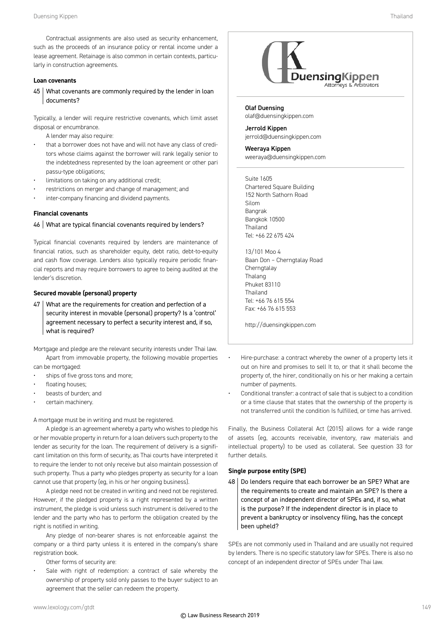#### **Loan covenants**

45 What covenants are commonly required by the lender in loan documents?

Typically, a lender will require restrictive covenants, which limit asset disposal or encumbrance.

A lender may also require:

- that a borrower does not have and will not have any class of creditors whose claims against the borrower will rank legally senior to the indebtedness represented by the loan agreement or other pari passu-type obligations;
- limitations on taking on any additional credit;
- restrictions on merger and change of management; and
- inter-company financing and dividend payments.

#### **Financial covenants**

#### 46 What are typical financial covenants required by lenders?

Typical financial covenants required by lenders are maintenance of financial ratios, such as shareholder equity, debt ratio, debt-to-equity and cash flow coverage. Lenders also typically require periodic financial reports and may require borrowers to agree to being audited at the lender's discretion.

#### **Secured movable (personal) property**

 $47$  What are the requirements for creation and perfection of a security interest in movable (personal) property? Is a 'control' agreement necessary to perfect a security interest and, if so, what is required?

Mortgage and pledge are the relevant security interests under Thai law. Apart from immovable property, the following movable properties

- can be mortgaged: ships of five gross tons and more;
- floating houses;
- beasts of burden; and
- certain machinery.

A mortgage must be in writing and must be registered.

A pledge is an agreement whereby a party who wishes to pledge his or her movable property in return for a loan delivers such property to the lender as security for the loan. The requirement of delivery is a significant limitation on this form of security, as Thai courts have interpreted it to require the lender to not only receive but also maintain possession of such property. Thus a party who pledges property as security for a loan cannot use that property (eg, in his or her ongoing business).

A pledge need not be created in writing and need not be registered. However, if the pledged property is a right represented by a written instrument, the pledge is void unless such instrument is delivered to the lender and the party who has to perform the obligation created by the right is notified in writing.

Any pledge of non-bearer shares is not enforceable against the company or a third party unless it is entered in the company's share registration book.

Other forms of security are:

Sale with right of redemption: a contract of sale whereby the ownership of property sold only passes to the buyer subject to an agreement that the seller can redeem the property.



Olaf Duensing olaf@duensingkippen.com

Jerrold Kippen jerrold@duensingkippen.com

Weeraya Kippen weeraya@duensingkippen.com

Suite 1605 Chartered Square Building 152 North Sathorn Road Silom Bangrak Bangkok 10500 Thailand

Tel: +66 22 675 424

13/101 Moo 4 Baan Don – Cherngtalay Road **Cherngtalay** Thalang Phuket 83110 Thailand Tel: +66 76 615 554 Fax: +66 76 615 553

http://duensingkippen.com

- Hire-purchase: a contract whereby the owner of a property lets it out on hire and promises to sell It to, or that it shall become the property of, the hirer, conditionally on his or her making a certain number of payments.
- Conditional transfer: a contract of sale that is subject to a condition or a time clause that states that the ownership of the property is not transferred until the condition Is fulfilled, or time has arrived.

Finally, the Business Collateral Act (2015) allows for a wide range of assets (eg, accounts receivable, inventory, raw materials and intellectual property) to be used as collateral. See question 33 for further details.

#### **Single purpose entity (SPE)**

48 | Do lenders require that each borrower be an SPE? What are the requirements to create and maintain an SPE? Is there a concept of an independent director of SPEs and, if so, what is the purpose? If the independent director is in place to prevent a bankruptcy or insolvency filing, has the concept been upheld?

SPEs are not commonly used in Thailand and are usually not required by lenders. There is no specific statutory law for SPEs. There is also no concept of an independent director of SPEs under Thai law.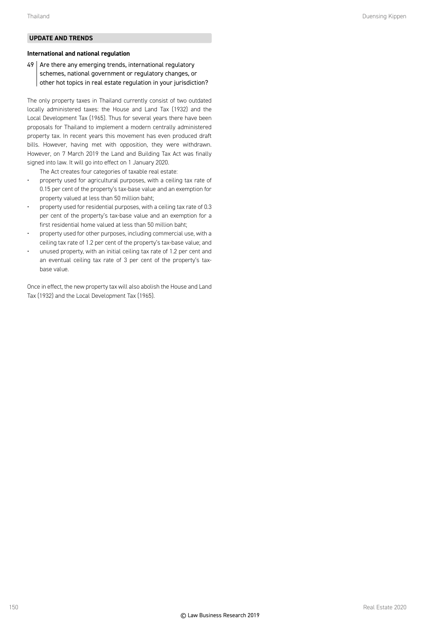#### **UPDATE AND TRENDS**

#### **International and national regulation**

 $49$  Are there any emerging trends, international regulatory schemes, national government or regulatory changes, or other hot topics in real estate regulation in your jurisdiction?

The only property taxes in Thailand currently consist of two outdated locally administered taxes: the House and Land Tax (1932) and the Local Development Tax (1965). Thus for several years there have been proposals for Thailand to implement a modern centrally administered property tax. In recent years this movement has even produced draft bills. However, having met with opposition, they were withdrawn. However, on 7 March 2019 the Land and Building Tax Act was finally signed into law. It will go into effect on 1 January 2020.

The Act creates four categories of taxable real estate:

- property used for agricultural purposes, with a ceiling tax rate of 0.15 per cent of the property's tax-base value and an exemption for property valued at less than 50 million baht;
- property used for residential purposes, with a ceiling tax rate of 0.3 per cent of the property's tax-base value and an exemption for a first residential home valued at less than 50 million baht;
- property used for other purposes, including commercial use, with a ceiling tax rate of 1.2 per cent of the property's tax-base value; and
- unused property, with an initial ceiling tax rate of 1.2 per cent and an eventual ceiling tax rate of 3 per cent of the property's taxbase value.

Once in effect, the new property tax will also abolish the House and Land Tax (1932) and the Local Development Tax (1965).